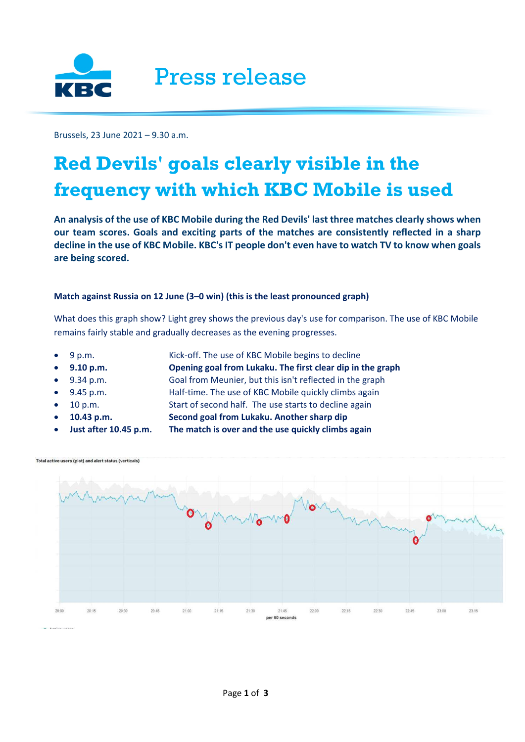

Brussels, 23 June 2021 – 9.30 a.m.

## **Red Devils' goals clearly visible in the frequency with which KBC Mobile is used**

**An analysis of the use of KBC Mobile during the Red Devils' last three matches clearly shows when our team scores. Goals and exciting parts of the matches are consistently reflected in a sharp decline in the use of KBC Mobile. KBC's IT people don't even have to watch TV to know when goals are being scored.** 

## **Match against Russia on 12 June (3–0 win) (this is the least pronounced graph)**

What does this graph show? Light grey shows the previous day's use for comparison. The use of KBC Mobile remains fairly stable and gradually decreases as the evening progresses.

- 
- 9 p.m. Kick-off. The use of KBC Mobile begins to decline
- **9.10 p.m. Opening goal from Lukaku. The first clear dip in the graph**
	- 9.34 p.m. Goal from Meunier, but this isn't reflected in the graph
- 9.45 p.m. Half-time. The use of KBC Mobile quickly climbs again
- 
- 10 p.m. Start of second half. The use starts to decline again
	- **10.43 p.m. Second goal from Lukaku. Another sharp dip**
	- **Just after 10.45 p.m. The match is over and the use quickly climbs again**



Total active users (plot) and alert status (verticals)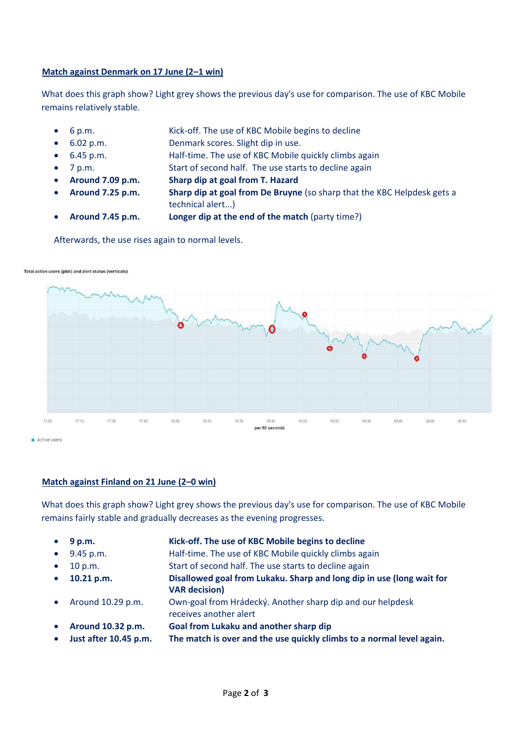## **Match against Denmark on 17 June (2–1 win)**

What does this graph show? Light grey shows the previous day's use for comparison. The use of KBC Mobile remains relatively stable.

- 6 p.m. Kick-off. The use of KBC Mobile begins to decline
- 6.02 p.m. Denmark scores. Slight dip in use.
- 6.45 p.m. Half-time. The use of KBC Mobile quickly climbs again
- 7 p.m. Start of second half. The use starts to decline again
- **Around 7.09 p.m. Sharp dip at goal from T. Hazard**
- 
- **Around 7.25 p.m. Sharp dip at goal from De Bruyne** (so sharp that the KBC Helpdesk gets a technical alert...)
- **Around 7.45 p.m. Longer dip at the end of the match** (party time?)

Afterwards, the use rises again to normal levels.



Total active users (plot) and alert status (verticals)

## **Match against Finland on 21 June (2–0 win)**

What does this graph show? Light grey shows the previous day's use for comparison. The use of KBC Mobile remains fairly stable and gradually decreases as the evening progresses.

- **9 p.m. Kick-off. The use of KBC Mobile begins to decline**
- 9.45 p.m. Half-time. The use of KBC Mobile quickly climbs again
- 10 p.m. Start of second half. The use starts to decline again
- **10.21 p.m. Disallowed goal from Lukaku. Sharp and long dip in use (long wait for VAR decision)**
- Around 10.29 p.m. Own-goal from Hrádecký. Another sharp dip and our helpdesk receives another alert
- **Around 10.32 p.m. Goal from Lukaku and another sharp dip**
- **Just after 10.45 p.m. The match is over and the use quickly climbs to a normal level again.**